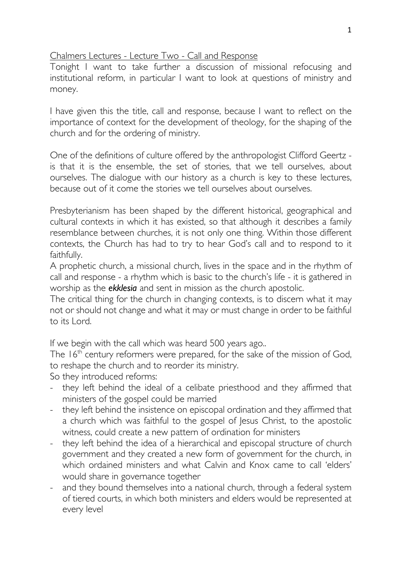Chalmers Lectures - Lecture Two - Call and Response

Tonight I want to take further a discussion of missional refocusing and institutional reform, in particular I want to look at questions of ministry and money.

I have given this the title, call and response, because I want to reflect on the importance of context for the development of theology, for the shaping of the church and for the ordering of ministry.

One of the definitions of culture offered by the anthropologist Clifford Geertz is that it is the ensemble, the set of stories, that we tell ourselves, about ourselves. The dialogue with our history as a church is key to these lectures, because out of it come the stories we tell ourselves about ourselves.

Presbyterianism has been shaped by the different historical, geographical and cultural contexts in which it has existed, so that although it describes a family resemblance between churches, it is not only one thing. Within those different contexts, the Church has had to try to hear God's call and to respond to it faithfully.

A prophetic church, a missional church, lives in the space and in the rhythm of call and response - a rhythm which is basic to the church's life - it is gathered in worship as the *ekklesia* and sent in mission as the church apostolic.

The critical thing for the church in changing contexts, is to discern what it may not or should not change and what it may or must change in order to be faithful to its Lord.

If we begin with the call which was heard 500 years ago..

The 16<sup>th</sup> century reformers were prepared, for the sake of the mission of God, to reshape the church and to reorder its ministry.

So they introduced reforms:

- they left behind the ideal of a celibate priesthood and they affirmed that ministers of the gospel could be married
- they left behind the insistence on episcopal ordination and they affirmed that a church which was faithful to the gospel of Jesus Christ, to the apostolic witness, could create a new pattern of ordination for ministers
- they left behind the idea of a hierarchical and episcopal structure of church government and they created a new form of government for the church, in which ordained ministers and what Calvin and Knox came to call 'elders' would share in governance together
- and they bound themselves into a national church, through a federal system of tiered courts, in which both ministers and elders would be represented at every level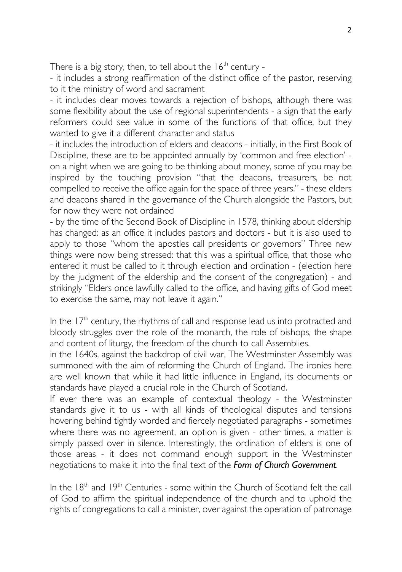There is a big story, then, to tell about the  $16<sup>th</sup>$  century -

- it includes a strong reaffirmation of the distinct office of the pastor, reserving to it the ministry of word and sacrament

- it includes clear moves towards a rejection of bishops, although there was some flexibility about the use of regional superintendents - a sign that the early reformers could see value in some of the functions of that office, but they wanted to give it a different character and status

- it includes the introduction of elders and deacons - initially, in the First Book of Discipline, these are to be appointed annually by 'common and free election' on a night when we are going to be thinking about money, some of you may be inspired by the touching provision "that the deacons, treasurers, be not compelled to receive the office again for the space of three years." - these elders and deacons shared in the governance of the Church alongside the Pastors, but for now they were not ordained

- by the time of the Second Book of Discipline in 1578, thinking about eldership has changed: as an office it includes pastors and doctors - but it is also used to apply to those "whom the apostles call presidents or governors" Three new things were now being stressed: that this was a spiritual office, that those who entered it must be called to it through election and ordination - (election here by the judgment of the eldership and the consent of the congregation) - and strikingly "Elders once lawfully called to the office, and having gifts of God meet to exercise the same, may not leave it again."

In the  $17<sup>th</sup>$  century, the rhythms of call and response lead us into protracted and bloody struggles over the role of the monarch, the role of bishops, the shape and content of liturgy, the freedom of the church to call Assemblies.

in the 1640s, against the backdrop of civil war, The Westminster Assembly was summoned with the aim of reforming the Church of England. The ironies here are well known that while it had little influence in England, its documents or standards have played a crucial role in the Church of Scotland.

If ever there was an example of contextual theology - the Westminster standards give it to us - with all kinds of theological disputes and tensions hovering behind tightly worded and fiercely negotiated paragraphs - sometimes where there was no agreement, an option is given - other times, a matter is simply passed over in silence. Interestingly, the ordination of elders is one of those areas - it does not command enough support in the Westminster negotiations to make it into the final text of the *Form of Church Government*.

In the 18<sup>th</sup> and 19<sup>th</sup> Centuries - some within the Church of Scotland felt the call of God to affirm the spiritual independence of the church and to uphold the rights of congregations to call a minister, over against the operation of patronage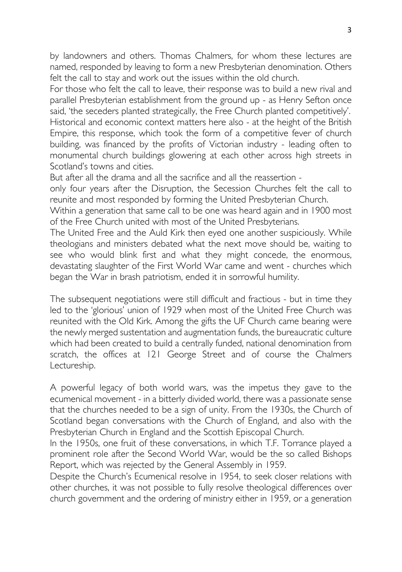by landowners and others. Thomas Chalmers, for whom these lectures are named, responded by leaving to form a new Presbyterian denomination. Others felt the call to stay and work out the issues within the old church.

For those who felt the call to leave, their response was to build a new rival and parallel Presbyterian establishment from the ground up - as Henry Sefton once said, 'the seceders planted strategically, the Free Church planted competitively'. Historical and economic context matters here also - at the height of the British Empire, this response, which took the form of a competitive fever of church building, was financed by the profits of Victorian industry - leading often to monumental church buildings glowering at each other across high streets in Scotland's towns and cities.

But after all the drama and all the sacrifice and all the reassertion -

only four years after the Disruption, the Secession Churches felt the call to reunite and most responded by forming the United Presbyterian Church.

Within a generation that same call to be one was heard again and in 1900 most of the Free Church united with most of the United Presbyterians.

The United Free and the Auld Kirk then eyed one another suspiciously. While theologians and ministers debated what the next move should be, waiting to see who would blink first and what they might concede, the enormous, devastating slaughter of the First World War came and went - churches which began the War in brash patriotism, ended it in sorrowful humility.

The subsequent negotiations were still difficult and fractious - but in time they led to the 'glorious' union of 1929 when most of the United Free Church was reunited with the Old Kirk. Among the gifts the UF Church came bearing were the newly merged sustentation and augmentation funds, the bureaucratic culture which had been created to build a centrally funded, national denomination from scratch, the offices at 121 George Street and of course the Chalmers Lectureship.

A powerful legacy of both world wars, was the impetus they gave to the ecumenical movement - in a bitterly divided world, there was a passionate sense that the churches needed to be a sign of unity. From the 1930s, the Church of Scotland began conversations with the Church of England, and also with the Presbyterian Church in England and the Scottish Episcopal Church.

In the 1950s, one fruit of these conversations, in which T.F. Torrance played a prominent role after the Second World War, would be the so called Bishops Report, which was rejected by the General Assembly in 1959.

Despite the Church's Ecumenical resolve in 1954, to seek closer relations with other churches, it was not possible to fully resolve theological differences over church government and the ordering of ministry either in 1959, or a generation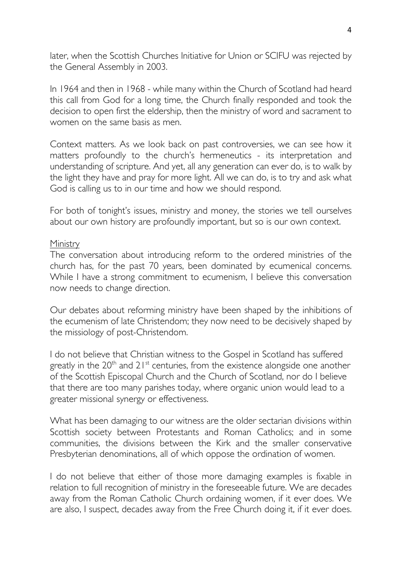later, when the Scottish Churches Initiative for Union or SCIFU was rejected by the General Assembly in 2003.

In 1964 and then in 1968 - while many within the Church of Scotland had heard this call from God for a long time, the Church finally responded and took the decision to open first the eldership, then the ministry of word and sacrament to women on the same basis as men.

Context matters. As we look back on past controversies, we can see how it matters profoundly to the church's hermeneutics - its interpretation and understanding of scripture. And yet, all any generation can ever do, is to walk by the light they have and pray for more light. All we can do, is to try and ask what God is calling us to in our time and how we should respond.

For both of tonight's issues, ministry and money, the stories we tell ourselves about our own history are profoundly important, but so is our own context.

#### Ministry

The conversation about introducing reform to the ordered ministries of the church has, for the past 70 years, been dominated by ecumenical concerns. While I have a strong commitment to ecumenism, I believe this conversation now needs to change direction.

Our debates about reforming ministry have been shaped by the inhibitions of the ecumenism of late Christendom; they now need to be decisively shaped by the missiology of post-Christendom.

I do not believe that Christian witness to the Gospel in Scotland has suffered greatly in the  $20<sup>th</sup>$  and  $21<sup>st</sup>$  centuries, from the existence alongside one another of the Scottish Episcopal Church and the Church of Scotland, nor do I believe that there are too many parishes today, where organic union would lead to a greater missional synergy or effectiveness.

What has been damaging to our witness are the older sectarian divisions within Scottish society between Protestants and Roman Catholics; and in some communities, the divisions between the Kirk and the smaller conservative Presbyterian denominations, all of which oppose the ordination of women.

I do not believe that either of those more damaging examples is fixable in relation to full recognition of ministry in the foreseeable future. We are decades away from the Roman Catholic Church ordaining women, if it ever does. We are also, I suspect, decades away from the Free Church doing it, if it ever does.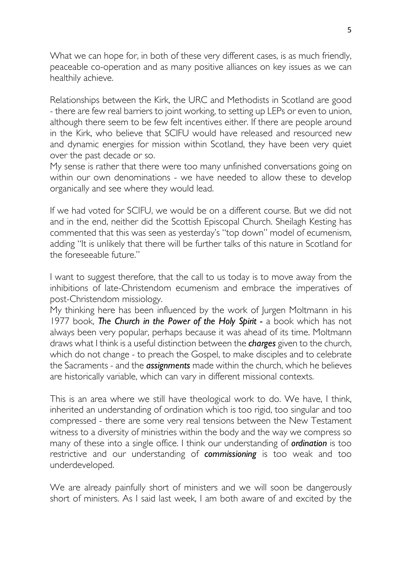What we can hope for, in both of these very different cases, is as much friendly, peaceable co-operation and as many positive alliances on key issues as we can healthily achieve.

Relationships between the Kirk, the URC and Methodists in Scotland are good - there are few real barriers to joint working, to setting up LEPs or even to union, although there seem to be few felt incentives either. If there are people around in the Kirk, who believe that SCIFU would have released and resourced new and dynamic energies for mission within Scotland, they have been very quiet over the past decade or so.

My sense is rather that there were too many unfinished conversations going on within our own denominations - we have needed to allow these to develop organically and see where they would lead.

If we had voted for SCIFU, we would be on a different course. But we did not and in the end, neither did the Scottish Episcopal Church. Sheilagh Kesting has commented that this was seen as yesterday's "top down" model of ecumenism, adding "It is unlikely that there will be further talks of this nature in Scotland for the foreseeable future."

I want to suggest therefore, that the call to us today is to move away from the inhibitions of late-Christendom ecumenism and embrace the imperatives of post-Christendom missiology.

My thinking here has been influenced by the work of Jurgen Moltmann in his 1977 book, *The Church in the Power of the Holy Spirit -* a book which has not always been very popular, perhaps because it was ahead of its time. Moltmann draws what I think is a useful distinction between the *charges* given to the church, which do not change - to preach the Gospel, to make disciples and to celebrate the Sacraments - and the *assignments* made within the church, which he believes are historically variable, which can vary in different missional contexts.

This is an area where we still have theological work to do. We have, I think, inherited an understanding of ordination which is too rigid, too singular and too compressed - there are some very real tensions between the New Testament witness to a diversity of ministries within the body and the way we compress so many of these into a single office. I think our understanding of *ordination* is too restrictive and our understanding of *commissioning* is too weak and too underdeveloped.

We are already painfully short of ministers and we will soon be dangerously short of ministers. As I said last week, I am both aware of and excited by the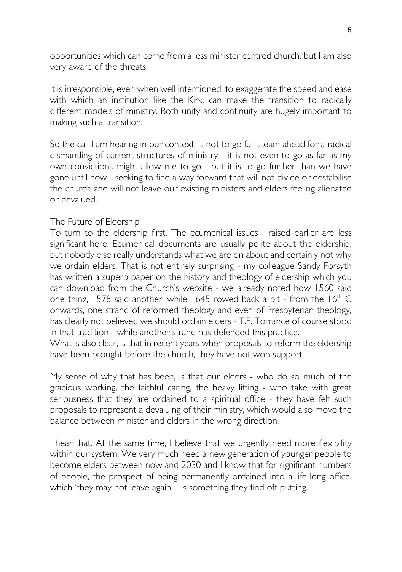opportunities which can come from a less minister centred church, but I am also very aware of the threats.

It is irresponsible, even when well intentioned, to exaggerate the speed and ease with which an institution like the Kirk, can make the transition to radically different models of ministry. Both unity and continuity are hugely important to making such a transition.

So the call I am hearing in our context, is not to go full steam ahead for a radical dismantling of current structures of ministry - it is not even to go as far as my own convictions might allow me to go - but it is to go further than we have gone until now - seeking to find a way forward that will not divide or destabilise the church and will not leave our existing ministers and elders feeling alienated or devalued.

### The Future of Eldership

To turn to the eldership first, The ecumenical issues I raised earlier are less significant here. Ecumenical documents are usually polite about the eldership, but nobody else really understands what we are on about and certainly not why we ordain elders. That is not entirely surprising - my colleague Sandy Forsyth has written a superb paper on the history and theology of eldership which you can download from the Church's website - we already noted how 1560 said one thing, 1578 said another, while 1645 rowed back a bit - from the  $16<sup>th</sup>$  C onwards, one strand of reformed theology and even of Presbyterian theology, has clearly not believed we should ordain elders - T.F. Torrance of course stood in that tradition - while another strand has defended this practice.

What is also clear, is that in recent years when proposals to reform the eldership have been brought before the church, they have not won support.

My sense of why that has been, is that our elders - who do so much of the gracious working, the faithful caring, the heavy lifting - who take with great seriousness that they are ordained to a spiritual office - they have felt such proposals to represent a devaluing of their ministry, which would also move the balance between minister and elders in the wrong direction.

I hear that. At the same time, I believe that we urgently need more flexibility within our system. We very much need a new generation of younger people to become elders between now and 2030 and I know that for significant numbers of people, the prospect of being permanently ordained into a life-long office, which 'they may not leave again' - is something they find off-putting.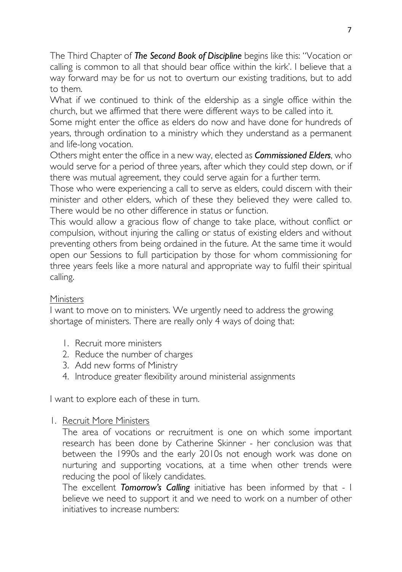The Third Chapter of *The Second Book of Discipline* begins like this: "Vocation or calling is common to all that should bear office within the kirk'. I believe that a way forward may be for us not to overturn our existing traditions, but to add to them.

What if we continued to think of the eldership as a single office within the church, but we affirmed that there were different ways to be called into it.

Some might enter the office as elders do now and have done for hundreds of years, through ordination to a ministry which they understand as a permanent and life-long vocation.

Others might enter the office in a new way, elected as *Commissioned Elders*, who would serve for a period of three years, after which they could step down, or if there was mutual agreement, they could serve again for a further term.

Those who were experiencing a call to serve as elders, could discern with their minister and other elders, which of these they believed they were called to. There would be no other difference in status or function.

This would allow a gracious flow of change to take place, without conflict or compulsion, without injuring the calling or status of existing elders and without preventing others from being ordained in the future. At the same time it would open our Sessions to full participation by those for whom commissioning for three years feels like a more natural and appropriate way to fulfil their spiritual calling.

## **Ministers**

I want to move on to ministers. We urgently need to address the growing shortage of ministers. There are really only 4 ways of doing that:

- 1. Recruit more ministers
- 2. Reduce the number of charges
- 3. Add new forms of Ministry
- 4. Introduce greater flexibility around ministerial assignments

I want to explore each of these in turn.

## 1. Recruit More Ministers

The area of vocations or recruitment is one on which some important research has been done by Catherine Skinner - her conclusion was that between the 1990s and the early 2010s not enough work was done on nurturing and supporting vocations, at a time when other trends were reducing the pool of likely candidates.

The excellent *Tomorrow's Calling* initiative has been informed by that - I believe we need to support it and we need to work on a number of other initiatives to increase numbers: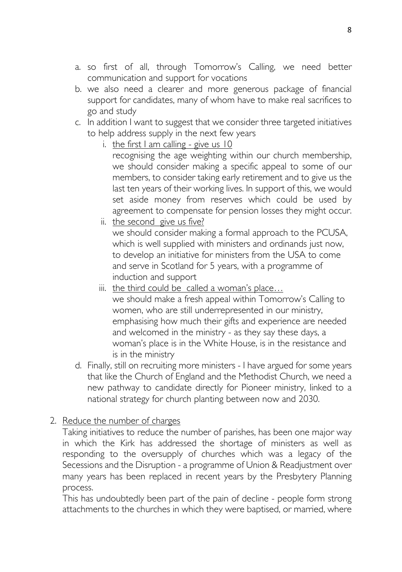- a. so first of all, through Tomorrow's Calling, we need better communication and support for vocations
- b. we also need a clearer and more generous package of financial support for candidates, many of whom have to make real sacrifices to go and study
- c. In addition I want to suggest that we consider three targeted initiatives to help address supply in the next few years
	- i. the first  $I$  am calling give us  $10$ recognising the age weighting within our church membership, we should consider making a specific appeal to some of our members, to consider taking early retirement and to give us the last ten years of their working lives. In support of this, we would set aside money from reserves which could be used by agreement to compensate for pension losses they might occur.
	- ii. the second give us five? we should consider making a formal approach to the PCUSA, which is well supplied with ministers and ordinands just now, to develop an initiative for ministers from the USA to come and serve in Scotland for 5 years, with a programme of induction and support
	- iii. the third could be called a woman's place... we should make a fresh appeal within Tomorrow's Calling to women, who are still underrepresented in our ministry, emphasising how much their gifts and experience are needed and welcomed in the ministry - as they say these days, a woman's place is in the White House, is in the resistance and is in the ministry
- d. Finally, still on recruiting more ministers I have argued for some years that like the Church of England and the Methodist Church, we need a new pathway to candidate directly for Pioneer ministry, linked to a national strategy for church planting between now and 2030.

# 2. Reduce the number of charges

Taking initiatives to reduce the number of parishes, has been one major way in which the Kirk has addressed the shortage of ministers as well as responding to the oversupply of churches which was a legacy of the Secessions and the Disruption - a programme of Union & Readjustment over many years has been replaced in recent years by the Presbytery Planning process.

This has undoubtedly been part of the pain of decline - people form strong attachments to the churches in which they were baptised, or married, where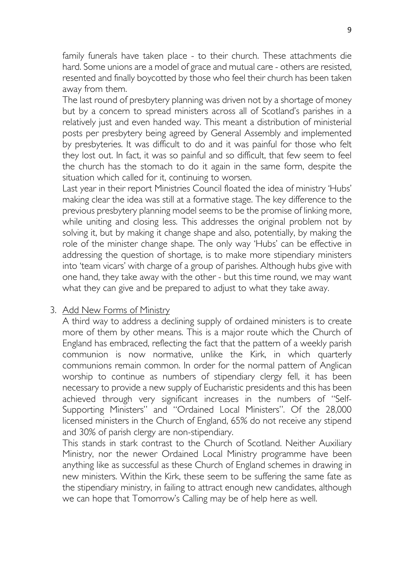family funerals have taken place - to their church. These attachments die hard. Some unions are a model of grace and mutual care - others are resisted, resented and finally boycotted by those who feel their church has been taken away from them.

The last round of presbytery planning was driven not by a shortage of money but by a concern to spread ministers across all of Scotland's parishes in a relatively just and even handed way. This meant a distribution of ministerial posts per presbytery being agreed by General Assembly and implemented by presbyteries. It was difficult to do and it was painful for those who felt they lost out. In fact, it was so painful and so difficult, that few seem to feel the church has the stomach to do it again in the same form, despite the situation which called for it, continuing to worsen.

Last year in their report Ministries Council floated the idea of ministry 'Hubs' making clear the idea was still at a formative stage. The key difference to the previous presbytery planning model seems to be the promise of linking more, while uniting and closing less. This addresses the original problem not by solving it, but by making it change shape and also, potentially, by making the role of the minister change shape. The only way 'Hubs' can be effective in addressing the question of shortage, is to make more stipendiary ministers into 'team vicars' with charge of a group of parishes. Although hubs give with one hand, they take away with the other - but this time round, we may want what they can give and be prepared to adjust to what they take away.

#### 3. Add New Forms of Ministry

A third way to address a declining supply of ordained ministers is to create more of them by other means. This is a major route which the Church of England has embraced, reflecting the fact that the pattern of a weekly parish communion is now normative, unlike the Kirk, in which quarterly communions remain common. In order for the normal pattern of Anglican worship to continue as numbers of stipendiary clergy fell, it has been necessary to provide a new supply of Eucharistic presidents and this has been achieved through very significant increases in the numbers of "Self-Supporting Ministers" and "Ordained Local Ministers". Of the 28,000 licensed ministers in the Church of England, 65% do not receive any stipend and 30% of parish clergy are non-stipendiary.

This stands in stark contrast to the Church of Scotland. Neither Auxiliary Ministry, nor the newer Ordained Local Ministry programme have been anything like as successful as these Church of England schemes in drawing in new ministers. Within the Kirk, these seem to be suffering the same fate as the stipendiary ministry, in failing to attract enough new candidates, although we can hope that Tomorrow's Calling may be of help here as well.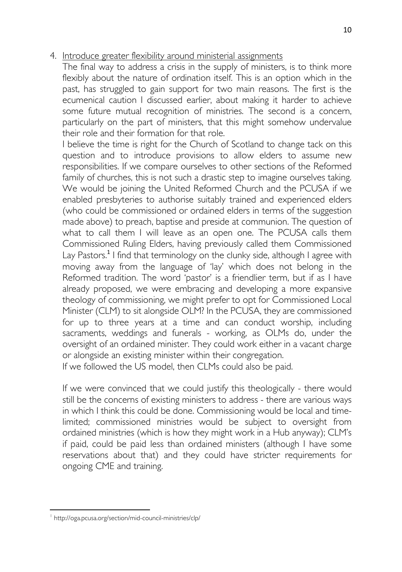# 4. Introduce greater flexibility around ministerial assignments

The final way to address a crisis in the supply of ministers, is to think more flexibly about the nature of ordination itself. This is an option which in the past, has struggled to gain support for two main reasons. The first is the ecumenical caution I discussed earlier, about making it harder to achieve some future mutual recognition of ministries. The second is a concern, particularly on the part of ministers, that this might somehow undervalue their role and their formation for that role.

I believe the time is right for the Church of Scotland to change tack on this question and to introduce provisions to allow elders to assume new responsibilities. If we compare ourselves to other sections of the Reformed family of churches, this is not such a drastic step to imagine ourselves taking. We would be joining the United Reformed Church and the PCUSA if we enabled presbyteries to authorise suitably trained and experienced elders (who could be commissioned or ordained elders in terms of the suggestion made above) to preach, baptise and preside at communion. The question of what to call them I will leave as an open one. The PCUSA calls them Commissioned Ruling Elders, having previously called them Commissioned Lay Pastors.<sup>1</sup> I find that terminology on the clunky side, although I agree with moving away from the language of 'lay' which does not belong in the Reformed tradition. The word 'pastor' is a friendlier term, but if as I have already proposed, we were embracing and developing a more expansive theology of commissioning, we might prefer to opt for Commissioned Local Minister (CLM) to sit alongside OLM? In the PCUSA, they are commissioned for up to three years at a time and can conduct worship, including sacraments, weddings and funerals - working, as OLMs do, under the oversight of an ordained minister. They could work either in a vacant charge or alongside an existing minister within their congregation.

If we followed the US model, then CLMs could also be paid.

If we were convinced that we could justify this theologically - there would still be the concerns of existing ministers to address - there are various ways in which I think this could be done. Commissioning would be local and timelimited; commissioned ministries would be subject to oversight from ordained ministries (which is how they might work in a Hub anyway); CLM's if paid, could be paid less than ordained ministers (although I have some reservations about that) and they could have stricter requirements for ongoing CME and training.

10

 <sup>1</sup> http://oga.pcusa.org/section/mid-council-ministries/clp/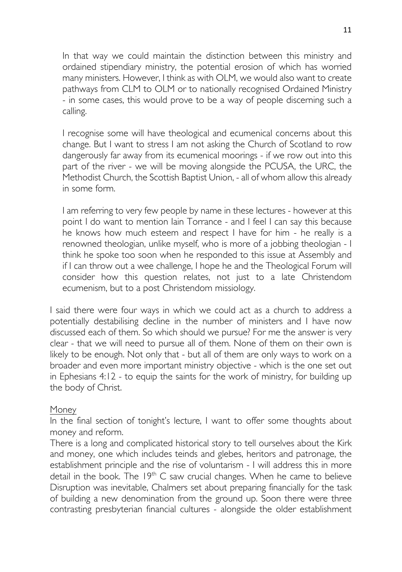In that way we could maintain the distinction between this ministry and ordained stipendiary ministry, the potential erosion of which has worried many ministers. However, I think as with OLM, we would also want to create pathways from CLM to OLM or to nationally recognised Ordained Ministry - in some cases, this would prove to be a way of people discerning such a calling.

I recognise some will have theological and ecumenical concerns about this change. But I want to stress I am not asking the Church of Scotland to row dangerously far away from its ecumenical moorings - if we row out into this part of the river - we will be moving alongside the PCUSA, the URC, the Methodist Church, the Scottish Baptist Union, - all of whom allow this already in some form.

I am referring to very few people by name in these lectures - however at this point I do want to mention Iain Torrance - and I feel I can say this because he knows how much esteem and respect I have for him - he really is a renowned theologian, unlike myself, who is more of a jobbing theologian - I think he spoke too soon when he responded to this issue at Assembly and if I can throw out a wee challenge, I hope he and the Theological Forum will consider how this question relates, not just to a late Christendom ecumenism, but to a post Christendom missiology.

I said there were four ways in which we could act as a church to address a potentially destabilising decline in the number of ministers and I have now discussed each of them. So which should we pursue? For me the answer is very clear - that we will need to pursue all of them. None of them on their own is likely to be enough. Not only that - but all of them are only ways to work on a broader and even more important ministry objective - which is the one set out in Ephesians 4:12 - to equip the saints for the work of ministry, for building up the body of Christ.

#### Money

In the final section of tonight's lecture, I want to offer some thoughts about money and reform.

There is a long and complicated historical story to tell ourselves about the Kirk and money, one which includes teinds and glebes, heritors and patronage, the establishment principle and the rise of voluntarism - I will address this in more detail in the book. The  $19<sup>th</sup>$  C saw crucial changes. When he came to believe Disruption was inevitable, Chalmers set about preparing financially for the task of building a new denomination from the ground up. Soon there were three contrasting presbyterian financial cultures - alongside the older establishment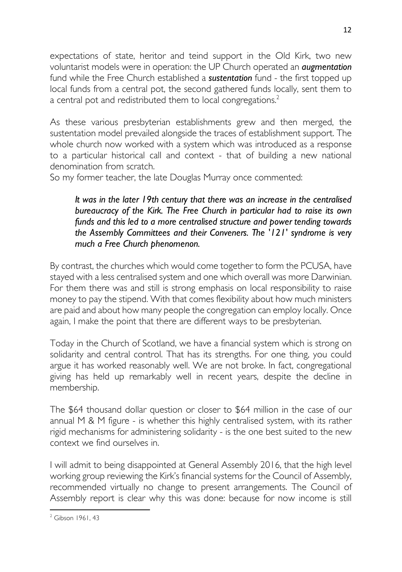expectations of state, heritor and teind support in the Old Kirk, two new voluntarist models were in operation: the UP Church operated an *augmentation* fund while the Free Church established a *sustentation* fund - the first topped up local funds from a central pot, the second gathered funds locally, sent them to a central pot and redistributed them to local congregations.<sup>2</sup>

As these various presbyterian establishments grew and then merged, the sustentation model prevailed alongside the traces of establishment support. The whole church now worked with a system which was introduced as a response to a particular historical call and context - that of building a new national denomination from scratch.

So my former teacher, the late Douglas Murray once commented:

*It was in the later 19th century that there was an increase in the centralised bureaucracy of the Kirk. The Free Church in particular had to raise its own funds and this led to a more centralised structure and power tending towards the Assembly Committees and their Conveners. The '121' syndrome is very much a Free Church phenomenon.*

By contrast, the churches which would come together to form the PCUSA, have stayed with a less centralised system and one which overall was more Darwinian. For them there was and still is strong emphasis on local responsibility to raise money to pay the stipend. With that comes flexibility about how much ministers are paid and about how many people the congregation can employ locally. Once again, I make the point that there are different ways to be presbyterian.

Today in the Church of Scotland, we have a financial system which is strong on solidarity and central control. That has its strengths. For one thing, you could argue it has worked reasonably well. We are not broke. In fact, congregational giving has held up remarkably well in recent years, despite the decline in membership.

The \$64 thousand dollar question or closer to \$64 million in the case of our annual M & M figure - is whether this highly centralised system, with its rather rigid mechanisms for administering solidarity - is the one best suited to the new context we find ourselves in.

I will admit to being disappointed at General Assembly 2016, that the high level working group reviewing the Kirk's financial systems for the Council of Assembly, recommended virtually no change to present arrangements. The Council of Assembly report is clear why this was done: because for now income is still

 <sup>2</sup> Gibson 1961, 43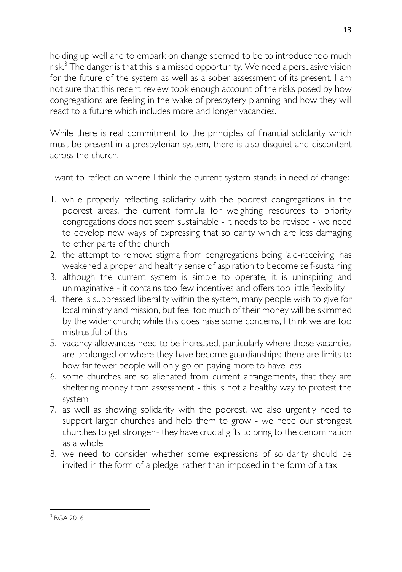holding up well and to embark on change seemed to be to introduce too much risk. $3$  The danger is that this is a missed opportunity. We need a persuasive vision for the future of the system as well as a sober assessment of its present. I am not sure that this recent review took enough account of the risks posed by how congregations are feeling in the wake of presbytery planning and how they will react to a future which includes more and longer vacancies.

While there is real commitment to the principles of financial solidarity which must be present in a presbyterian system, there is also disquiet and discontent across the church.

I want to reflect on where I think the current system stands in need of change:

- 1. while properly reflecting solidarity with the poorest congregations in the poorest areas, the current formula for weighting resources to priority congregations does not seem sustainable - it needs to be revised - we need to develop new ways of expressing that solidarity which are less damaging to other parts of the church
- 2. the attempt to remove stigma from congregations being 'aid-receiving' has weakened a proper and healthy sense of aspiration to become self-sustaining
- 3. although the current system is simple to operate, it is uninspiring and unimaginative - it contains too few incentives and offers too little flexibility
- 4. there is suppressed liberality within the system, many people wish to give for local ministry and mission, but feel too much of their money will be skimmed by the wider church; while this does raise some concerns, I think we are too mistrustful of this
- 5. vacancy allowances need to be increased, particularly where those vacancies are prolonged or where they have become guardianships; there are limits to how far fewer people will only go on paying more to have less
- 6. some churches are so alienated from current arrangements, that they are sheltering money from assessment - this is not a healthy way to protest the system
- 7. as well as showing solidarity with the poorest, we also urgently need to support larger churches and help them to grow - we need our strongest churches to get stronger - they have crucial gifts to bring to the denomination as a whole
- 8. we need to consider whether some expressions of solidarity should be invited in the form of a pledge, rather than imposed in the form of a tax

 <sup>3</sup> RGA 2016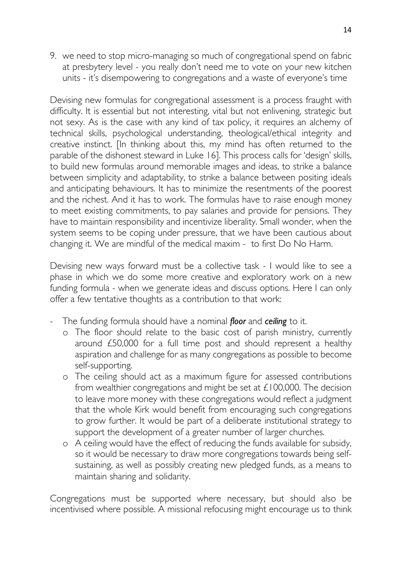9. we need to stop micro-managing so much of congregational spend on fabric at presbytery level - you really don't need me to vote on your new kitchen units - it's disempowering to congregations and a waste of everyone's time

Devising new formulas for congregational assessment is a process fraught with difficulty. It is essential but not interesting, vital but not enlivening, strategic but not sexy. As is the case with any kind of tax policy, it requires an alchemy of technical skills, psychological understanding, theological/ethical integrity and creative instinct. [In thinking about this, my mind has often returned to the parable of the dishonest steward in Luke 16]. This process calls for 'design' skills, to build new formulas around memorable images and ideas, to strike a balance between simplicity and adaptability, to strike a balance between positing ideals and anticipating behaviours. It has to minimize the resentments of the poorest and the richest. And it has to work. The formulas have to raise enough money to meet existing commitments, to pay salaries and provide for pensions. They have to maintain responsibility and incentivize liberality. Small wonder, when the system seems to be coping under pressure, that we have been cautious about changing it. We are mindful of the medical maxim - to first Do No Harm.

Devising new ways forward must be a collective task - I would like to see a phase in which we do some more creative and exploratory work on a new funding formula - when we generate ideas and discuss options. Here I can only offer a few tentative thoughts as a contribution to that work:

- The funding formula should have a nominal *floor* and *ceiling* to it.
	- o The floor should relate to the basic cost of parish ministry, currently around £50,000 for a full time post and should represent a healthy aspiration and challenge for as many congregations as possible to become self-supporting.
	- o The ceiling should act as a maximum figure for assessed contributions from wealthier congregations and might be set at  $£100,000$ . The decision to leave more money with these congregations would reflect a judgment that the whole Kirk would benefit from encouraging such congregations to grow further. It would be part of a deliberate institutional strategy to support the development of a greater number of larger churches.
	- o A ceiling would have the effect of reducing the funds available for subsidy, so it would be necessary to draw more congregations towards being selfsustaining, as well as possibly creating new pledged funds, as a means to maintain sharing and solidarity.

Congregations must be supported where necessary, but should also be incentivised where possible. A missional refocusing might encourage us to think